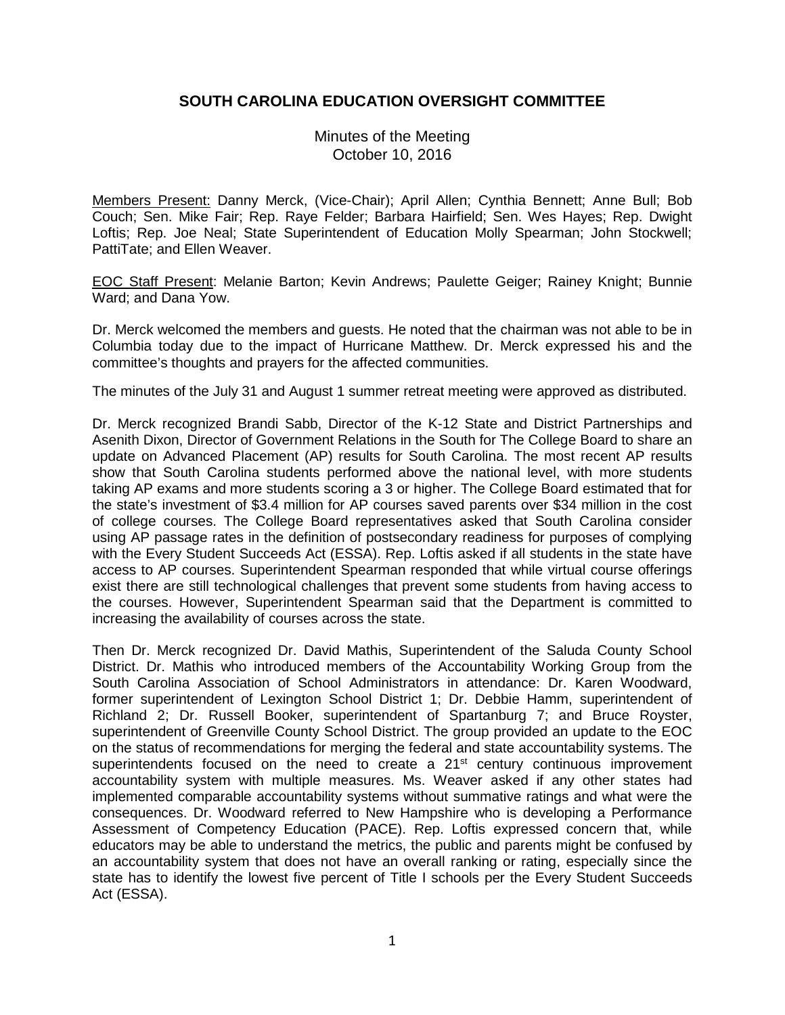## **SOUTH CAROLINA EDUCATION OVERSIGHT COMMITTEE**

Minutes of the Meeting October 10, 2016

Members Present: Danny Merck, (Vice-Chair); April Allen; Cynthia Bennett; Anne Bull; Bob Couch; Sen. Mike Fair; Rep. Raye Felder; Barbara Hairfield; Sen. Wes Hayes; Rep. Dwight Loftis; Rep. Joe Neal; State Superintendent of Education Molly Spearman; John Stockwell; PattiTate; and Ellen Weaver.

EOC Staff Present: Melanie Barton; Kevin Andrews; Paulette Geiger; Rainey Knight; Bunnie Ward; and Dana Yow.

Dr. Merck welcomed the members and guests. He noted that the chairman was not able to be in Columbia today due to the impact of Hurricane Matthew. Dr. Merck expressed his and the committee's thoughts and prayers for the affected communities.

The minutes of the July 31 and August 1 summer retreat meeting were approved as distributed.

Dr. Merck recognized Brandi Sabb, Director of the K-12 State and District Partnerships and Asenith Dixon, Director of Government Relations in the South for The College Board to share an update on Advanced Placement (AP) results for South Carolina. The most recent AP results show that South Carolina students performed above the national level, with more students taking AP exams and more students scoring a 3 or higher. The College Board estimated that for the state's investment of \$3.4 million for AP courses saved parents over \$34 million in the cost of college courses. The College Board representatives asked that South Carolina consider using AP passage rates in the definition of postsecondary readiness for purposes of complying with the Every Student Succeeds Act (ESSA). Rep. Loftis asked if all students in the state have access to AP courses. Superintendent Spearman responded that while virtual course offerings exist there are still technological challenges that prevent some students from having access to the courses. However, Superintendent Spearman said that the Department is committed to increasing the availability of courses across the state.

Then Dr. Merck recognized Dr. David Mathis, Superintendent of the Saluda County School District. Dr. Mathis who introduced members of the Accountability Working Group from the South Carolina Association of School Administrators in attendance: Dr. Karen Woodward, former superintendent of Lexington School District 1; Dr. Debbie Hamm, superintendent of Richland 2; Dr. Russell Booker, superintendent of Spartanburg 7; and Bruce Royster, superintendent of Greenville County School District. The group provided an update to the EOC on the status of recommendations for merging the federal and state accountability systems. The superintendents focused on the need to create a 21<sup>st</sup> century continuous improvement accountability system with multiple measures. Ms. Weaver asked if any other states had implemented comparable accountability systems without summative ratings and what were the consequences. Dr. Woodward referred to New Hampshire who is developing a Performance Assessment of Competency Education (PACE). Rep. Loftis expressed concern that, while educators may be able to understand the metrics, the public and parents might be confused by an accountability system that does not have an overall ranking or rating, especially since the state has to identify the lowest five percent of Title I schools per the Every Student Succeeds Act (ESSA).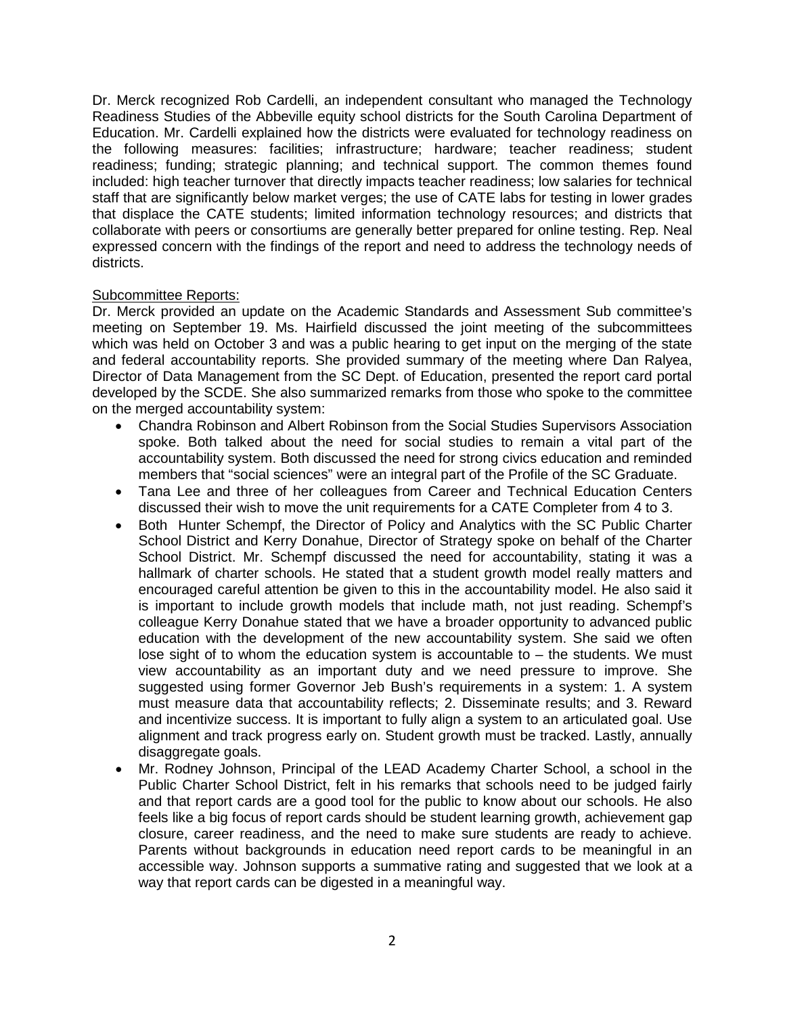Dr. Merck recognized Rob Cardelli, an independent consultant who managed the Technology Readiness Studies of the Abbeville equity school districts for the South Carolina Department of Education. Mr. Cardelli explained how the districts were evaluated for technology readiness on the following measures: facilities; infrastructure; hardware; teacher readiness; student readiness; funding; strategic planning; and technical support. The common themes found included: high teacher turnover that directly impacts teacher readiness; low salaries for technical staff that are significantly below market verges; the use of CATE labs for testing in lower grades that displace the CATE students; limited information technology resources; and districts that collaborate with peers or consortiums are generally better prepared for online testing. Rep. Neal expressed concern with the findings of the report and need to address the technology needs of districts.

## Subcommittee Reports:

Dr. Merck provided an update on the Academic Standards and Assessment Sub committee's meeting on September 19. Ms. Hairfield discussed the joint meeting of the subcommittees which was held on October 3 and was a public hearing to get input on the merging of the state and federal accountability reports. She provided summary of the meeting where Dan Ralyea, Director of Data Management from the SC Dept. of Education, presented the report card portal developed by the SCDE. She also summarized remarks from those who spoke to the committee on the merged accountability system:

- Chandra Robinson and Albert Robinson from the Social Studies Supervisors Association spoke. Both talked about the need for social studies to remain a vital part of the accountability system. Both discussed the need for strong civics education and reminded members that "social sciences" were an integral part of the Profile of the SC Graduate.
- Tana Lee and three of her colleagues from Career and Technical Education Centers discussed their wish to move the unit requirements for a CATE Completer from 4 to 3.
- Both Hunter Schempf, the Director of Policy and Analytics with the SC Public Charter School District and Kerry Donahue, Director of Strategy spoke on behalf of the Charter School District. Mr. Schempf discussed the need for accountability, stating it was a hallmark of charter schools. He stated that a student growth model really matters and encouraged careful attention be given to this in the accountability model. He also said it is important to include growth models that include math, not just reading. Schempf's colleague Kerry Donahue stated that we have a broader opportunity to advanced public education with the development of the new accountability system. She said we often lose sight of to whom the education system is accountable to  $-$  the students. We must view accountability as an important duty and we need pressure to improve. She suggested using former Governor Jeb Bush's requirements in a system: 1. A system must measure data that accountability reflects; 2. Disseminate results; and 3. Reward and incentivize success. It is important to fully align a system to an articulated goal. Use alignment and track progress early on. Student growth must be tracked. Lastly, annually disaggregate goals.
- Mr. Rodney Johnson, Principal of the LEAD Academy Charter School, a school in the Public Charter School District, felt in his remarks that schools need to be judged fairly and that report cards are a good tool for the public to know about our schools. He also feels like a big focus of report cards should be student learning growth, achievement gap closure, career readiness, and the need to make sure students are ready to achieve. Parents without backgrounds in education need report cards to be meaningful in an accessible way. Johnson supports a summative rating and suggested that we look at a way that report cards can be digested in a meaningful way.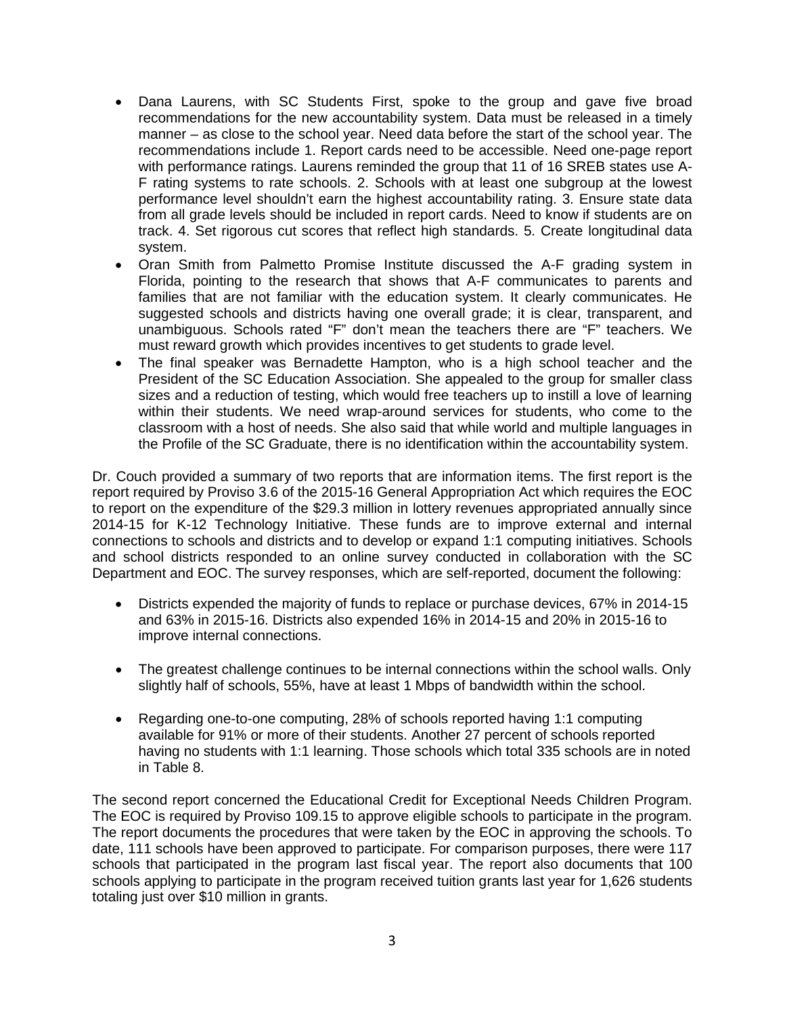- Dana Laurens, with SC Students First, spoke to the group and gave five broad recommendations for the new accountability system. Data must be released in a timely manner – as close to the school year. Need data before the start of the school year. The recommendations include 1. Report cards need to be accessible. Need one-page report with performance ratings. Laurens reminded the group that 11 of 16 SREB states use A-F rating systems to rate schools. 2. Schools with at least one subgroup at the lowest performance level shouldn't earn the highest accountability rating. 3. Ensure state data from all grade levels should be included in report cards. Need to know if students are on track. 4. Set rigorous cut scores that reflect high standards. 5. Create longitudinal data system.
- Oran Smith from Palmetto Promise Institute discussed the A-F grading system in Florida, pointing to the research that shows that A-F communicates to parents and families that are not familiar with the education system. It clearly communicates. He suggested schools and districts having one overall grade; it is clear, transparent, and unambiguous. Schools rated "F" don't mean the teachers there are "F" teachers. We must reward growth which provides incentives to get students to grade level.
- The final speaker was Bernadette Hampton, who is a high school teacher and the President of the SC Education Association. She appealed to the group for smaller class sizes and a reduction of testing, which would free teachers up to instill a love of learning within their students. We need wrap-around services for students, who come to the classroom with a host of needs. She also said that while world and multiple languages in the Profile of the SC Graduate, there is no identification within the accountability system.

Dr. Couch provided a summary of two reports that are information items. The first report is the report required by Proviso 3.6 of the 2015-16 General Appropriation Act which requires the EOC to report on the expenditure of the \$29.3 million in lottery revenues appropriated annually since 2014-15 for K-12 Technology Initiative. These funds are to improve external and internal connections to schools and districts and to develop or expand 1:1 computing initiatives. Schools and school districts responded to an online survey conducted in collaboration with the SC Department and EOC. The survey responses, which are self-reported, document the following:

- Districts expended the majority of funds to replace or purchase devices, 67% in 2014-15 and 63% in 2015-16. Districts also expended 16% in 2014-15 and 20% in 2015-16 to improve internal connections.
- The greatest challenge continues to be internal connections within the school walls. Only slightly half of schools, 55%, have at least 1 Mbps of bandwidth within the school.
- Regarding one-to-one computing, 28% of schools reported having 1:1 computing available for 91% or more of their students. Another 27 percent of schools reported having no students with 1:1 learning. Those schools which total 335 schools are in noted in Table 8.

The second report concerned the Educational Credit for Exceptional Needs Children Program. The EOC is required by Proviso 109.15 to approve eligible schools to participate in the program. The report documents the procedures that were taken by the EOC in approving the schools. To date, 111 schools have been approved to participate. For comparison purposes, there were 117 schools that participated in the program last fiscal year. The report also documents that 100 schools applying to participate in the program received tuition grants last year for 1,626 students totaling just over \$10 million in grants.